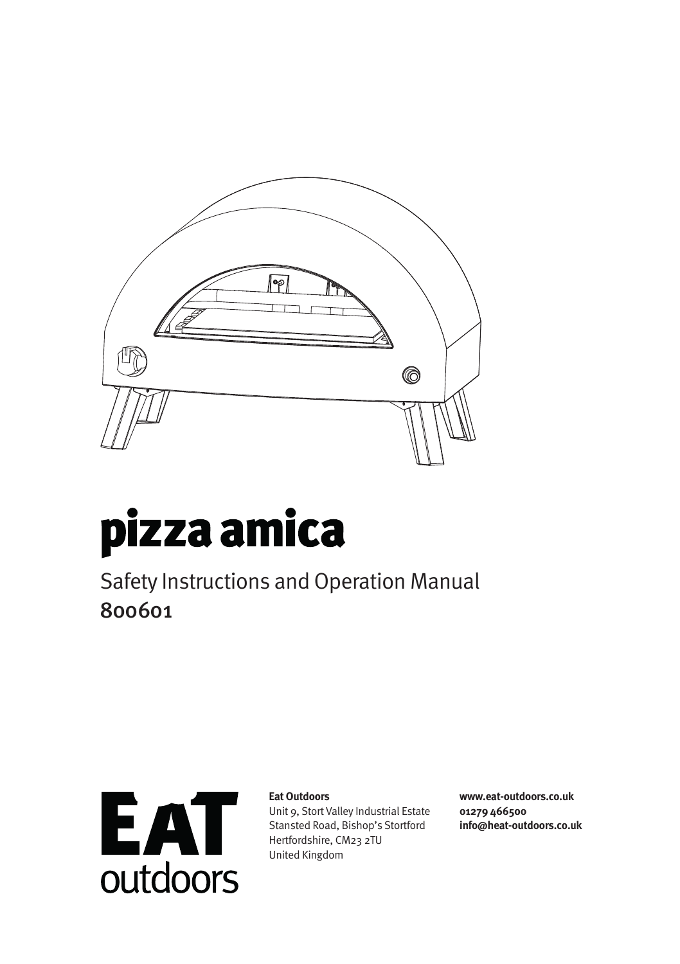

# pizza amica

Safety Instructions and Operation Manual 800601



#### **Eat Outdoors**

Unit 9, Stort Valley Industrial Estate Stansted Road, Bishop's Stortford Hertfordshire, CM23 2TU United Kingdom

**www.eat-outdoors.co.uk 01279 466500 info@heat-outdoors.co.uk**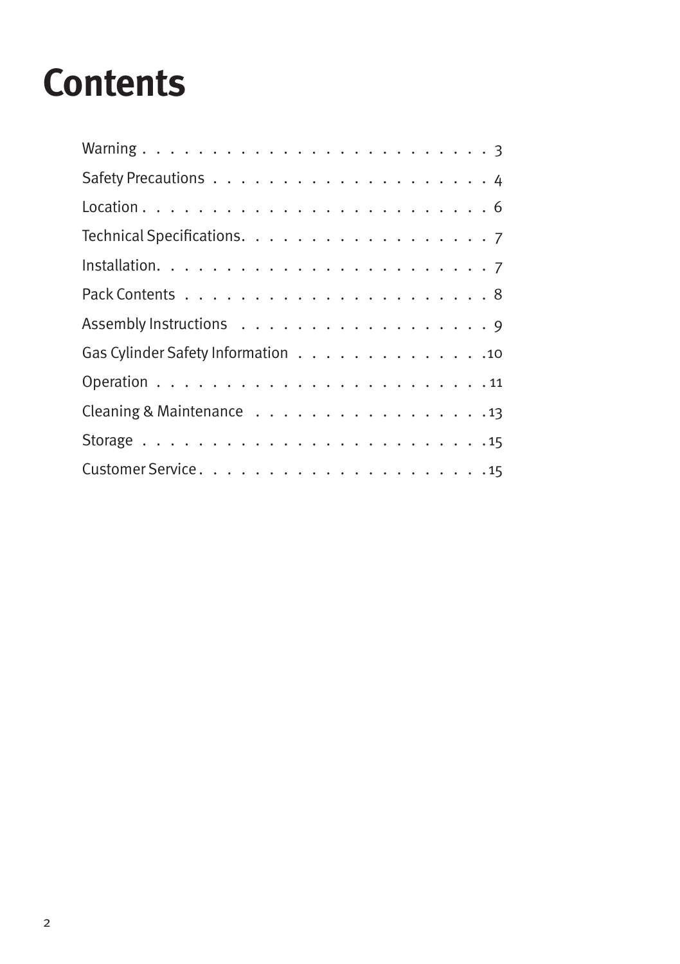# **Contents**

| Gas Cylinder Safety Information 10                                              |
|---------------------------------------------------------------------------------|
|                                                                                 |
| Cleaning & Maintenance 13                                                       |
| Storage $\ldots \ldots \ldots \ldots \ldots \ldots \ldots \ldots \ldots \ldots$ |
|                                                                                 |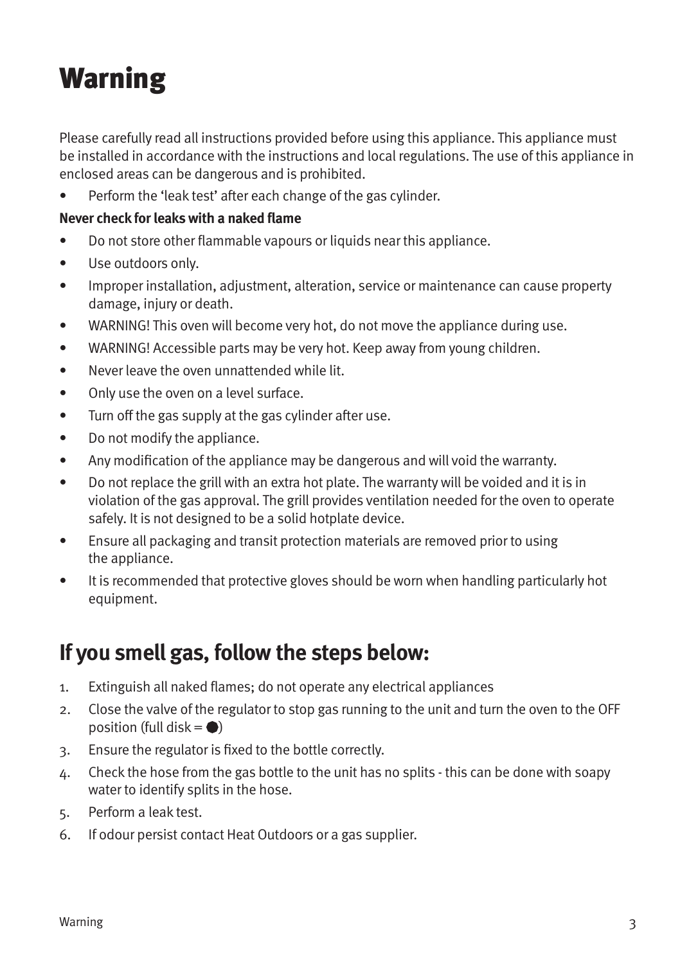# Warning

Please carefully read all instructions provided before using this appliance. This appliance must be installed in accordance with the instructions and local regulations. The use of this appliance in enclosed areas can be dangerous and is prohibited.

Perform the 'leak test' after each change of the gas cylinder.

#### **Never check for leaks with a naked flame**

- Do not store other flammable vapours or liquids near this appliance.
- Use outdoors only.
- Improper installation, adjustment, alteration, service or maintenance can cause property damage, injury or death.
- WARNING! This oven will become very hot, do not move the appliance during use.
- WARNING! Accessible parts may be very hot. Keep away from young children.
- Never leave the oven unnattended while lit.
- Only use the oven on a level surface.
- Turn off the gas supply at the gas cylinder after use.
- Do not modify the appliance.
- Any modification of the appliance may be dangerous and will void the warranty.
- Do not replace the grill with an extra hot plate. The warranty will be voided and it is in violation of the gas approval. The grill provides ventilation needed for the oven to operate safely. It is not designed to be a solid hotplate device.
- Ensure all packaging and transit protection materials are removed prior to using the appliance.
- It is recommended that protective gloves should be worn when handling particularly hot equipment.

### **If you smell gas, follow the steps below:**

- 1. Extinguish all naked flames; do not operate any electrical appliances
- 2. Close the valve of the regulator to stop gas running to the unit and turn the oven to the OFF position (full disk  $= \bullet$ )
- 3. Ensure the regulator is fixed to the bottle correctly.
- 4. Check the hose from the gas bottle to the unit has no splits this can be done with soapy water to identify splits in the hose.
- 5. Perform a leak test.
- 6. If odour persist contact Heat Outdoors or a gas supplier.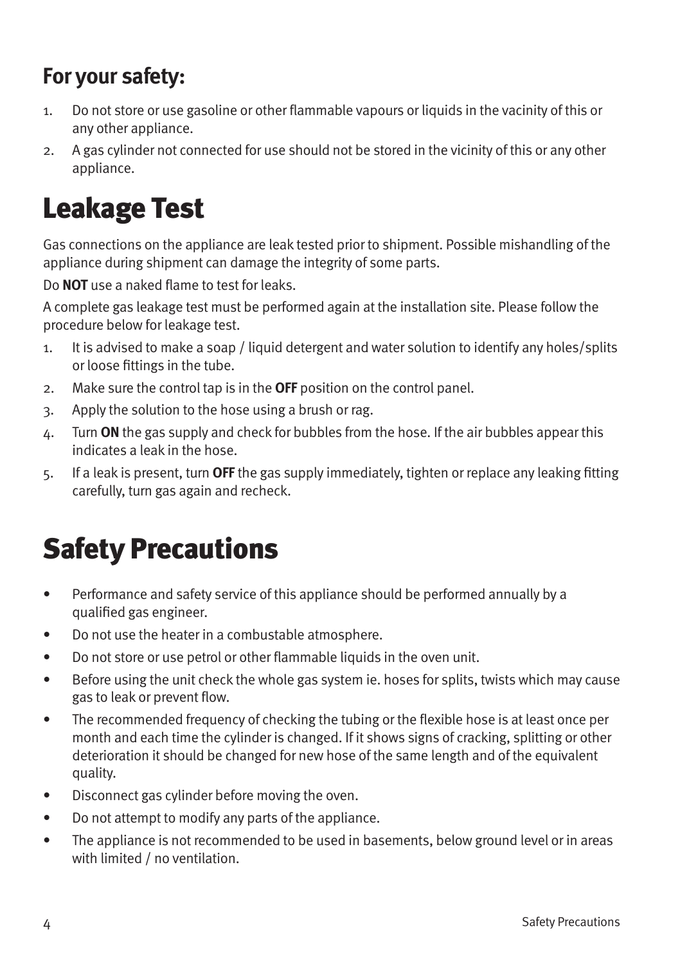### **For your safety:**

- 1. Do not store or use gasoline or other flammable vapours or liquids in the vacinity of this or any other appliance.
- 2. A gas cylinder not connected for use should not be stored in the vicinity of this or any other appliance.

### Leakage Test

Gas connections on the appliance are leak tested prior to shipment. Possible mishandling of the appliance during shipment can damage the integrity of some parts.

Do **NOT** use a naked flame to test for leaks.

A complete gas leakage test must be performed again at the installation site. Please follow the procedure below for leakage test.

- 1. It is advised to make a soap / liquid detergent and water solution to identify any holes/splits or loose fittings in the tube.
- 2. Make sure the control tap is in the **OFF** position on the control panel.
- 3. Apply the solution to the hose using a brush or rag.
- 4. Turn **ON** the gas supply and check for bubbles from the hose. If the air bubbles appear this indicates a leak in the hose.
- 5. If a leak is present, turn **OFF** the gas supply immediately, tighten or replace any leaking fitting carefully, turn gas again and recheck.

# Safety Precautions

- Performance and safety service of this appliance should be performed annually by a qualified gas engineer.
- Do not use the heater in a combustable atmosphere.
- Do not store or use petrol or other flammable liquids in the oven unit.
- Before using the unit check the whole gas system ie. hoses for splits, twists which may cause gas to leak or prevent flow.
- The recommended frequency of checking the tubing or the flexible hose is at least once per month and each time the cylinder is changed. If it shows signs of cracking, splitting or other deterioration it should be changed for new hose of the same length and of the equivalent quality.
- Disconnect gas cylinder before moving the oven.
- Do not attempt to modify any parts of the appliance.
- The appliance is not recommended to be used in basements, below ground level or in areas with limited / no ventilation.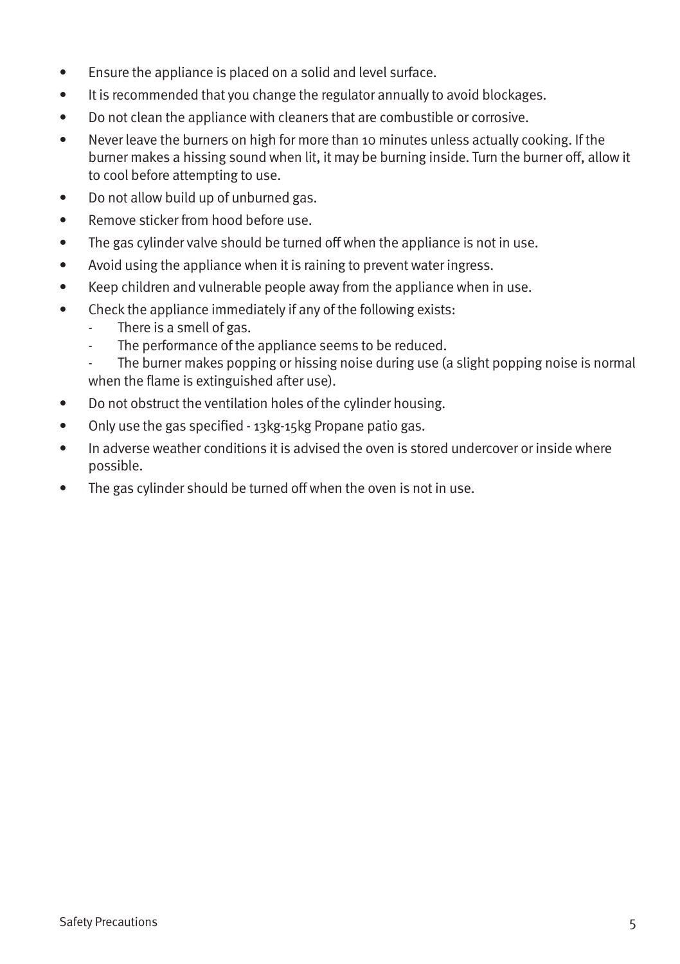- Ensure the appliance is placed on a solid and level surface.
- It is recommended that you change the regulator annually to avoid blockages.
- Do not clean the appliance with cleaners that are combustible or corrosive.
- Never leave the burners on high for more than 10 minutes unless actually cooking. If the burner makes a hissing sound when lit, it may be burning inside. Turn the burner off, allow it to cool before attempting to use.
- Do not allow build up of unburned gas.
- Remove sticker from hood before use.
- The gas cylinder valve should be turned off when the appliance is not in use.
- Avoid using the appliance when it is raining to prevent water ingress.
- Keep children and vulnerable people away from the appliance when in use.
- Check the appliance immediately if any of the following exists:
	- There is a smell of gas.
	- The performance of the appliance seems to be reduced.
	- The burner makes popping or hissing noise during use (a slight popping noise is normal when the flame is extinguished after use).
- Do not obstruct the ventilation holes of the cylinder housing.
- Only use the gas specified 13kg-15kg Propane patio gas.
- In adverse weather conditions it is advised the oven is stored undercover or inside where possible.
- The gas cylinder should be turned off when the oven is not in use.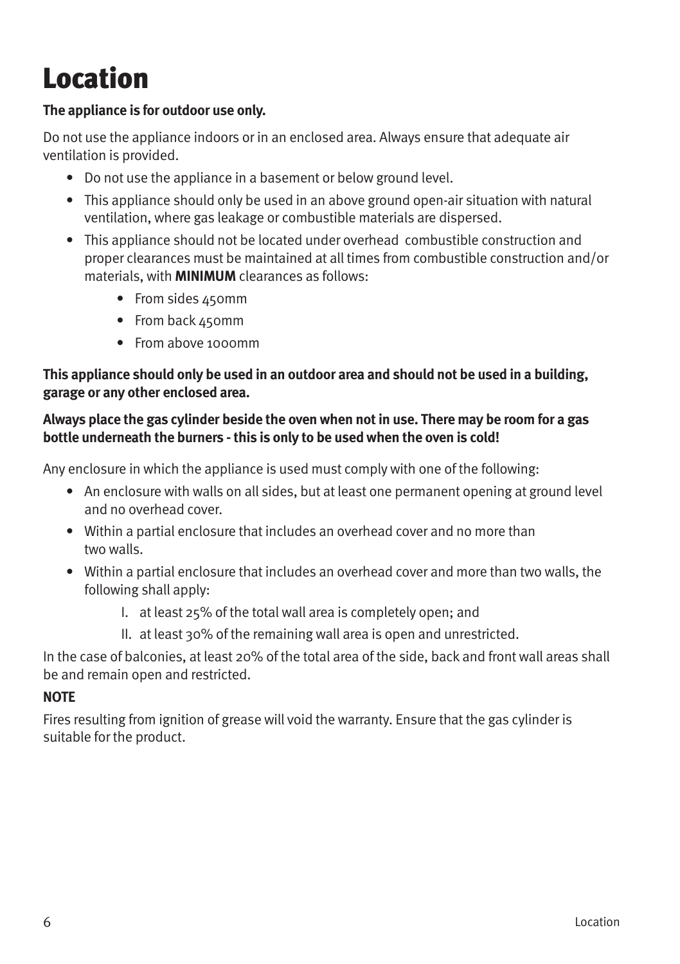# **Location**

#### **The appliance is for outdoor use only.**

Do not use the appliance indoors or in an enclosed area. Always ensure that adequate air ventilation is provided.

- Do not use the appliance in a basement or below ground level.
- This appliance should only be used in an above ground open-air situation with natural ventilation, where gas leakage or combustible materials are dispersed.
- This appliance should not be located under overhead combustible construction and proper clearances must be maintained at all times from combustible construction and/or materials, with **MINIMUM** clearances as follows:
	- From sides 450mm
	- From back 450mm
	- From above 1000mm

#### **This appliance should only be used in an outdoor area and should not be used in a building, garage or any other enclosed area.**

#### **Always place the gas cylinder beside the oven when not in use. There may be room for a gas bottle underneath the burners - this is only to be used when the oven is cold!**

Any enclosure in which the appliance is used must comply with one of the following:

- An enclosure with walls on all sides, but at least one permanent opening at ground level and no overhead cover.
- Within a partial enclosure that includes an overhead cover and no more than two walls.
- Within a partial enclosure that includes an overhead cover and more than two walls, the following shall apply:
	- I. at least 25% of the total wall area is completely open; and
	- II. at least 30% of the remaining wall area is open and unrestricted.

In the case of balconies, at least 20% of the total area of the side, back and front wall areas shall be and remain open and restricted.

#### **NOTE**

Fires resulting from ignition of grease will void the warranty. Ensure that the gas cylinder is suitable for the product.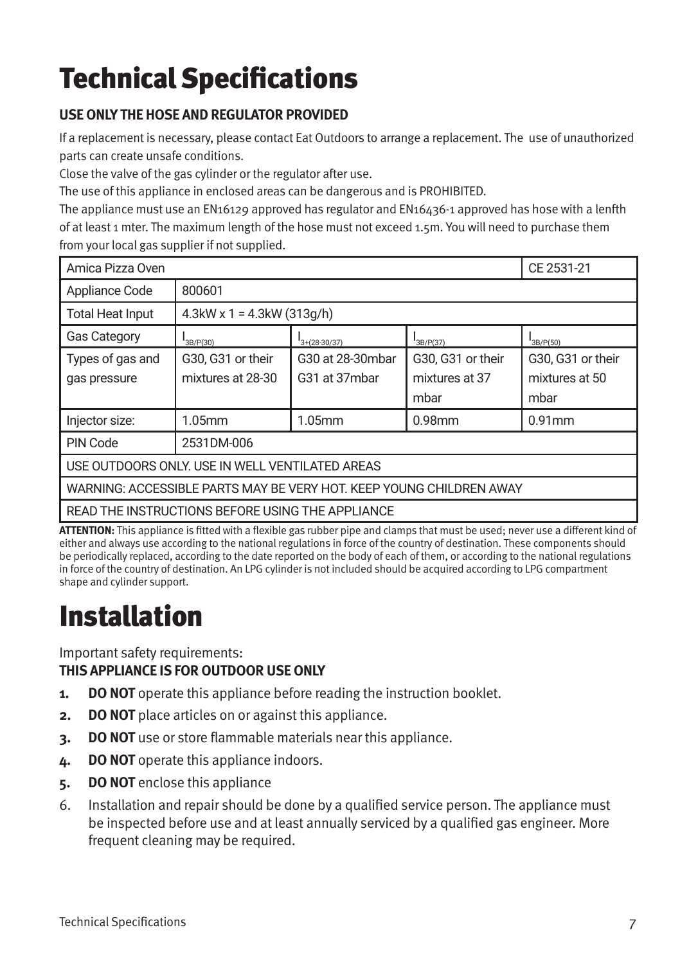# Technical Specifications

#### **USE ONLY THE HOSE AND REGULATOR PROVIDED**

If a replacement is necessary, please contact Eat Outdoors to arrange a replacement. The use of unauthorized parts can create unsafe conditions.

Close the valve of the gas cylinder or the regulator after use.

The use of this appliance in enclosed areas can be dangerous and is PROHIBITED.

The appliance must use an EN16129 approved has regulator and EN16436-1 approved has hose with a lenfth of at least 1 mter. The maximum length of the hose must not exceed 1.5m. You will need to purchase them from your local gas supplier if not supplied.

| Amica Pizza Oven                                                    |                                  |                  |                   | CE 2531-21        |  |
|---------------------------------------------------------------------|----------------------------------|------------------|-------------------|-------------------|--|
| Appliance Code                                                      | 800601                           |                  |                   |                   |  |
| <b>Total Heat Input</b>                                             | $4.3$ kW x 1 = $4.3$ kW (313q/h) |                  |                   |                   |  |
| <b>Gas Category</b>                                                 | "3B/P(30)                        | $3+(28-30/37)$   | B/ P(37)          | B/P(50)           |  |
| Types of gas and                                                    | G30, G31 or their                | G30 at 28-30mbar | G30, G31 or their | G30, G31 or their |  |
| gas pressure                                                        | mixtures at 28-30                | G31 at 37mbar    | mixtures at 37    | mixtures at 50    |  |
|                                                                     |                                  |                  | mbar              | mbar              |  |
| Injector size:                                                      | $1.05$ mm                        | $1.05$ mm        | $0.98$ mm         | $0.91$ mm         |  |
| PIN Code                                                            | 2531DM-006                       |                  |                   |                   |  |
| USE OUTDOORS ONLY. USE IN WELL VENTILATED AREAS                     |                                  |                  |                   |                   |  |
| WARNING: ACCESSIBLE PARTS MAY BE VERY HOT. KEEP YOUNG CHILDREN AWAY |                                  |                  |                   |                   |  |
| READ THE INSTRUCTIONS BEFORE USING THE APPLIANCE                    |                                  |                  |                   |                   |  |

**ATTENTION:** This appliance is fitted with a flexible gas rubber pipe and clamps that must be used; never use a different kind of either and always use according to the national regulations in force of the country of destination. These components should be periodically replaced, according to the date reported on the body of each of them, or according to the national regulations in force of the country of destination. An LPG cylinder is not included should be acquired according to LPG compartment shape and cylinder support.

# Installation

Important safety requirements: **THIS APPLIANCE IS FOR OUTDOOR USE ONLY**

- **1. DO NOT** operate this appliance before reading the instruction booklet.
- **2. DO NOT** place articles on or against this appliance.
- **3. DO NOT** use or store flammable materials near this appliance.
- **4. DO NOT** operate this appliance indoors.
- **5. DO NOT** enclose this appliance
- 6. Installation and repair should be done by a qualified service person. The appliance must be inspected before use and at least annually serviced by a qualified gas engineer. More frequent cleaning may be required.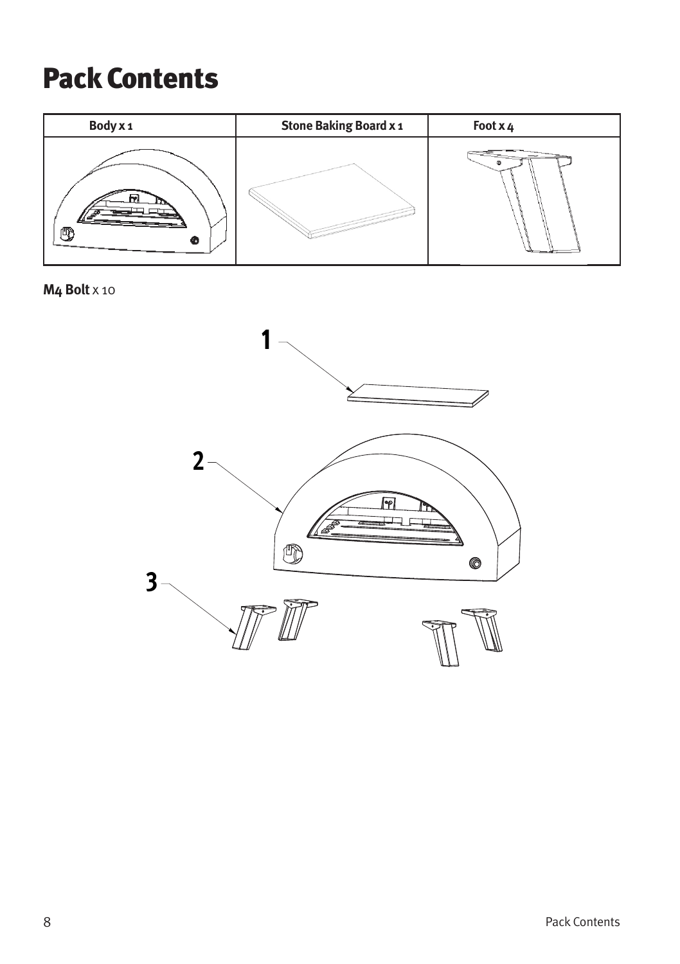### Pack Contents



**M4 Bolt** x 10

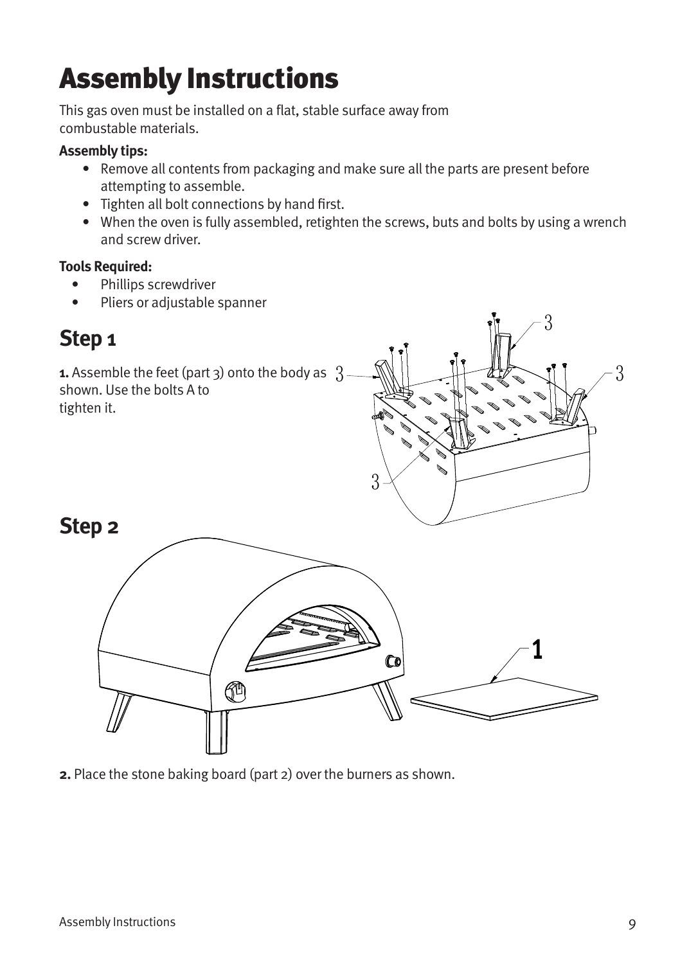# Assembly Instructions

This gas oven must be installed on a flat, stable surface away from combustable materials.

#### **Assembly tips:**

- Remove all contents from packaging and make sure all the parts are present before attempting to assemble.
- Tighten all bolt connections by hand first.
- When the oven is fully assembled, retighten the screws, buts and bolts by using a wrench and screw driver.

#### **Tools Required:**

- Phillips screwdriver
- Pliers or adjustable spanner

### **Step 1**

**Step 2**

**1.** Assemble the feet (part 3) onto the body as 3 shown. Use the bolts A to tighten it.





**2.** Place the stone baking board (part 2) over the burners as shown.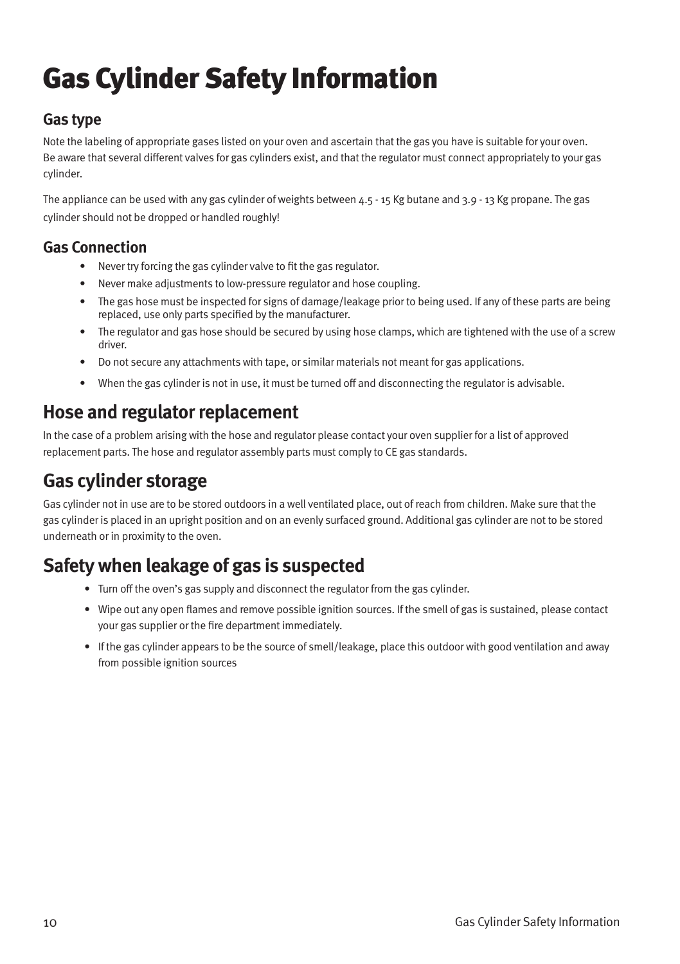# Gas Cylinder Safety Information

#### **Gas type**

Note the labeling of appropriate gases listed on your oven and ascertain that the gas you have is suitable for your oven. Be aware that several different valves for gas cylinders exist, and that the regulator must connect appropriately to your gas cylinder.

The appliance can be used with any gas cylinder of weights between  $4.5 - 15$  Kg butane and 3.9 - 13 Kg propane. The gas cylinder should not be dropped or handled roughly!

#### **Gas Connection**

- Never try forcing the gas cylinder valve to fit the gas regulator.
- Never make adjustments to low-pressure regulator and hose coupling.
- The gas hose must be inspected for signs of damage/leakage prior to being used. If any of these parts are being replaced, use only parts specified by the manufacturer.
- The regulator and gas hose should be secured by using hose clamps, which are tightened with the use of a screw driver.
- Do not secure any attachments with tape, or similar materials not meant for gas applications.
- When the gas cylinder is not in use, it must be turned off and disconnecting the regulator is advisable.

#### **Hose and regulator replacement**

In the case of a problem arising with the hose and regulator please contact your oven supplier for a list of approved replacement parts. The hose and regulator assembly parts must comply to CE gas standards.

#### **Gas cylinder storage**

Gas cylinder not in use are to be stored outdoors in a well ventilated place, out of reach from children. Make sure that the gas cylinder is placed in an upright position and on an evenly surfaced ground. Additional gas cylinder are not to be stored underneath or in proximity to the oven.

### **Safety when leakage of gas is suspected**

- Turn off the oven's gas supply and disconnect the regulator from the gas cylinder.
- Wipe out any open flames and remove possible ignition sources. If the smell of gas is sustained, please contact your gas supplier or the fire department immediately.
- If the gas cylinder appears to be the source of smell/leakage, place this outdoor with good ventilation and away from possible ignition sources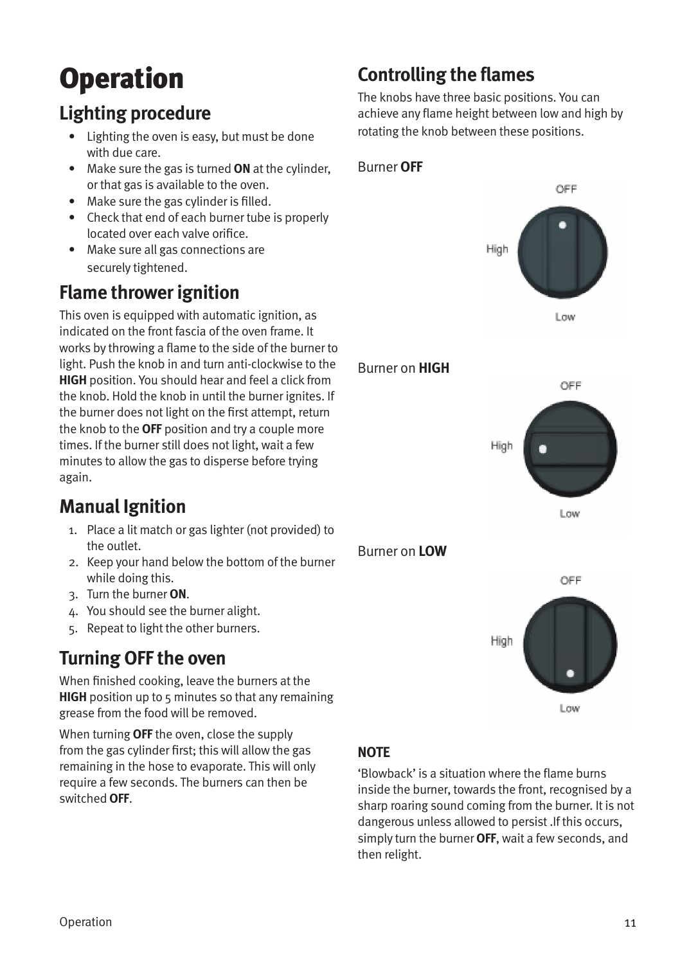# Operation

### **Lighting procedure**

- Lighting the oven is easy, but must be done with due care.
- Make sure the gas is turned **ON** at the cylinder, or that gas is available to the oven.
- Make sure the gas cylinder is filled.
- Check that end of each burner tube is properly located over each valve orifice.
- Make sure all gas connections are securely tightened.

### **Flame thrower ignition**

This oven is equipped with automatic ignition, as indicated on the front fascia of the oven frame. It works by throwing a flame to the side of the burner to light. Push the knob in and turn anti-clockwise to the **HIGH** position. You should hear and feel a click from the knob. Hold the knob in until the burner ignites. If the burner does not light on the first attempt, return the knob to the **OFF** position and try a couple more times. If the burner still does not light, wait a few minutes to allow the gas to disperse before trying again.

### **Manual Ignition**

- 1. Place a lit match or gas lighter (not provided) to the outlet.
- 2. Keep your hand below the bottom of the burner while doing this.
- 3. Turn the burner **ON**.
- 4. You should see the burner alight.
- 5. Repeat to light the other burners.

### **Turning OFF the oven**

When finished cooking, leave the burners at the **HIGH** position up to 5 minutes so that any remaining grease from the food will be removed.

When turning **OFF** the oven, close the supply from the gas cylinder first; this will allow the gas remaining in the hose to evaporate. This will only require a few seconds. The burners can then be switched **OFF**.

### **Controlling the flames**

Burner **OFF**

The knobs have three basic positions. You can achieve any flame height between low and high by rotating the knob between these positions.



'Blowback' is a situation where the flame burns inside the burner, towards the front, recognised by a sharp roaring sound coming from the burner. It is not dangerous unless allowed to persist .If this occurs, simply turn the burner **OFF**, wait a few seconds, and then relight.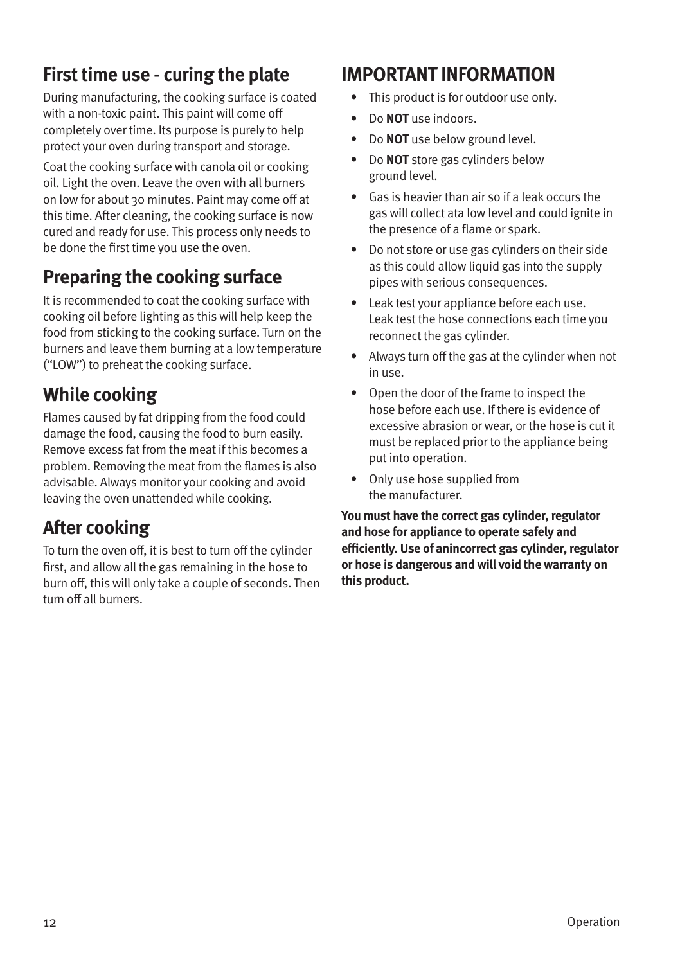### **First time use - curing the plate**

During manufacturing, the cooking surface is coated with a non-toxic paint. This paint will come off completely over time. Its purpose is purely to help protect your oven during transport and storage.

Coat the cooking surface with canola oil or cooking oil. Light the oven. Leave the oven with all burners on low for about 30 minutes. Paint may come off at this time. After cleaning, the cooking surface is now cured and ready for use. This process only needs to be done the first time you use the oven.

### **Preparing the cooking surface**

It is recommended to coat the cooking surface with cooking oil before lighting as this will help keep the food from sticking to the cooking surface. Turn on the burners and leave them burning at a low temperature ("LOW") to preheat the cooking surface.

#### **While cooking**

Flames caused by fat dripping from the food could damage the food, causing the food to burn easily. Remove excess fat from the meat if this becomes a problem. Removing the meat from the flames is also advisable. Always monitor your cooking and avoid leaving the oven unattended while cooking.

### **After cooking**

To turn the oven off, it is best to turn off the cylinder first, and allow all the gas remaining in the hose to burn off, this will only take a couple of seconds. Then turn off all burners.

#### **IMPORTANT INFORMATION**

- This product is for outdoor use only.
- Do **NOT** use indoors.
- Do **NOT** use below ground level.
- Do **NOT** store gas cylinders below ground level.
- Gas is heavier than air so if a leak occurs the gas will collect ata low level and could ignite in the presence of a flame or spark.
- Do not store or use gas cylinders on their side as this could allow liquid gas into the supply pipes with serious consequences.
- Leak test your appliance before each use. Leak test the hose connections each time you reconnect the gas cylinder.
- Always turn off the gas at the cylinder when not in use.
- Open the door of the frame to inspect the hose before each use. If there is evidence of excessive abrasion or wear, or the hose is cut it must be replaced prior to the appliance being put into operation.
- Only use hose supplied from the manufacturer.

**You must have the correct gas cylinder, regulator and hose for appliance to operate safely and efficiently. Use of anincorrect gas cylinder, regulator or hose is dangerous and will void the warranty on this product.**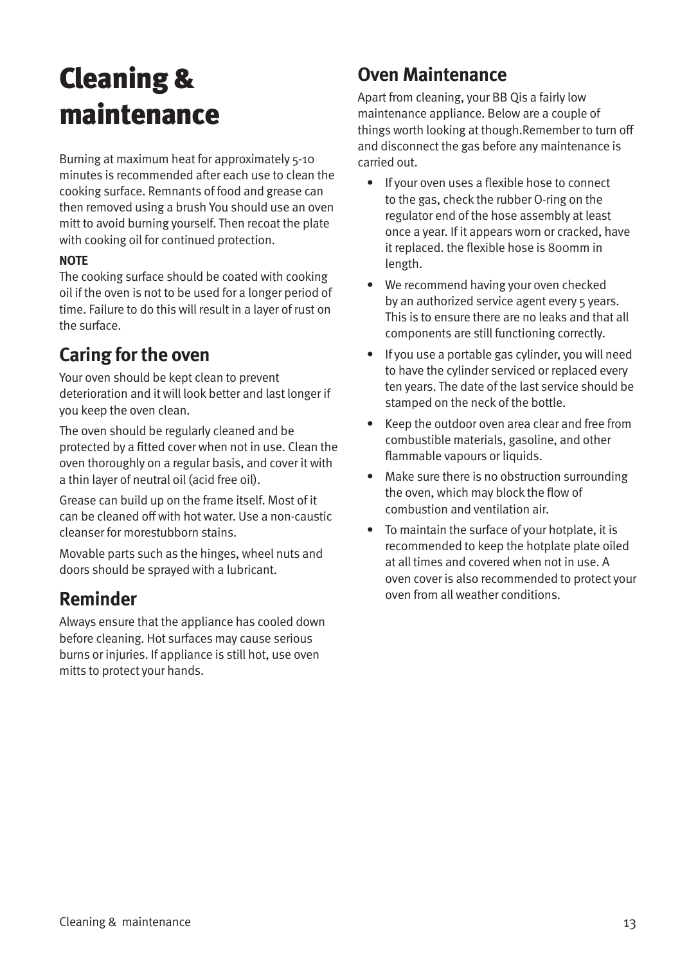# Cleaning & maintenance

Burning at maximum heat for approximately 5-10 minutes is recommended after each use to clean the cooking surface. Remnants of food and grease can then removed using a brush You should use an oven mitt to avoid burning yourself. Then recoat the plate with cooking oil for continued protection.

#### **NOTE**

The cooking surface should be coated with cooking oil if the oven is not to be used for a longer period of time. Failure to do this will result in a layer of rust on the surface.

#### **Caring for the oven**

Your oven should be kept clean to prevent deterioration and it will look better and last longer if you keep the oven clean.

The oven should be regularly cleaned and be protected by a fitted cover when not in use. Clean the oven thoroughly on a regular basis, and cover it with a thin layer of neutral oil (acid free oil).

Grease can build up on the frame itself. Most of it can be cleaned off with hot water. Use a non-caustic cleanser for morestubborn stains.

Movable parts such as the hinges, wheel nuts and doors should be sprayed with a lubricant.

#### **Reminder**

Always ensure that the appliance has cooled down before cleaning. Hot surfaces may cause serious burns or injuries. If appliance is still hot, use oven mitts to protect your hands.

#### **Oven Maintenance**

Apart from cleaning, your BB Qis a fairly low maintenance appliance. Below are a couple of things worth looking at though.Remember to turn off and disconnect the gas before any maintenance is carried out.

- If your oven uses a flexible hose to connect to the gas, check the rubber O-ring on the regulator end of the hose assembly at least once a year. If it appears worn or cracked, have it replaced. the flexible hose is 800mm in length.
- We recommend having your oven checked by an authorized service agent every 5 years. This is to ensure there are no leaks and that all components are still functioning correctly.
- If you use a portable gas cylinder, you will need to have the cylinder serviced or replaced every ten years. The date of the last service should be stamped on the neck of the bottle.
- Keep the outdoor oven area clear and free from combustible materials, gasoline, and other flammable vapours or liquids.
- Make sure there is no obstruction surrounding the oven, which may block the flow of combustion and ventilation air.
- To maintain the surface of your hotplate, it is recommended to keep the hotplate plate oiled at all times and covered when not in use. A oven cover is also recommended to protect your oven from all weather conditions.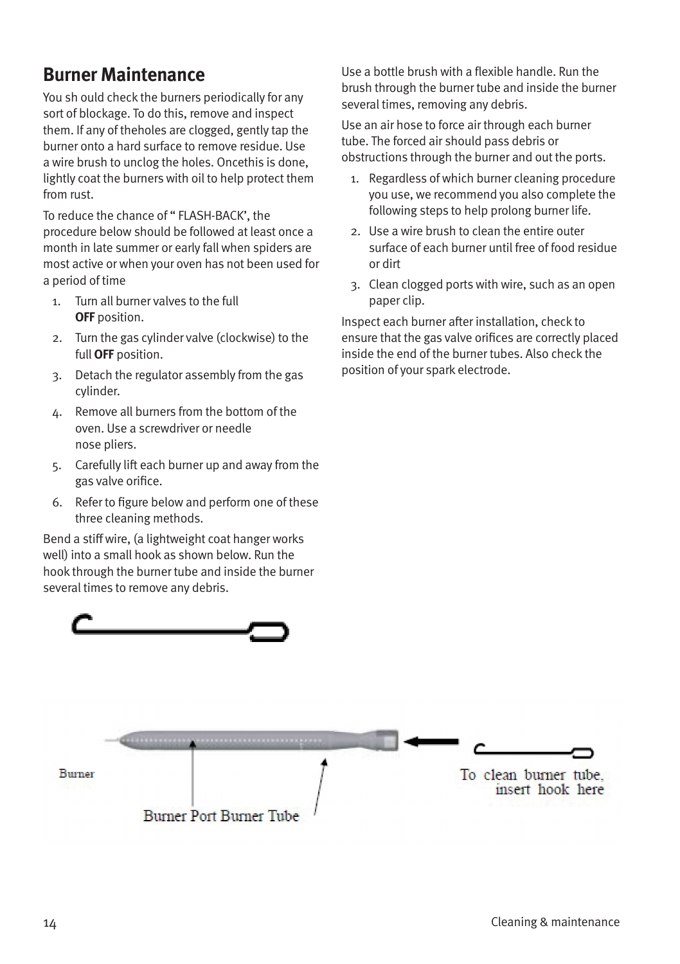#### **Burner Maintenance**

You sh ould check the burners periodically for any sort of blockage. To do this, remove and inspect them. If any of theholes are clogged, gently tap the burner onto a hard surface to remove residue. Use a wire brush to unclog the holes. Oncethis is done, lightly coat the burners with oil to help protect them from rust.

To reduce the chance of " FLASH-BACK', the procedure below should be followed at least once a month in late summer or early fall when spiders are most active or when your oven has not been used for a period of time

- 1. Turn all burner valves to the full **OFF** position.
- 2. Turn the gas cylinder valve (clockwise) to the full **OFF** position.
- 3. Detach the regulator assembly from the gas cylinder.
- 4. Remove all burners from the bottom of the oven. Use a screwdriver or needle nose pliers.
- 5. Carefully lift each burner up and away from the gas valve orifice.
- 6. Refer to figure below and perform one of these three cleaning methods.

Bend a stiff wire, (a lightweight coat hanger works well) into a small hook as shown below. Run the hook through the burner tube and inside the burner several times to remove any debris.

Use a bottle brush with a flexible handle. Run the brush through the burner tube and inside the burner several times, removing any debris.

Use an air hose to force air through each burner tube. The forced air should pass debris or obstructions through the burner and out the ports.

- 1. Regardless of which burner cleaning procedure you use, we recommend you also complete the following steps to help prolong burner life.
- 2. Use a wire brush to clean the entire outer surface of each burner until free of food residue or dirt
- 3. Clean clogged ports with wire, such as an open paper clip.

Inspect each burner after installation, check to ensure that the gas valve orifices are correctly placed inside the end of the burner tubes. Also check the position of your spark electrode.

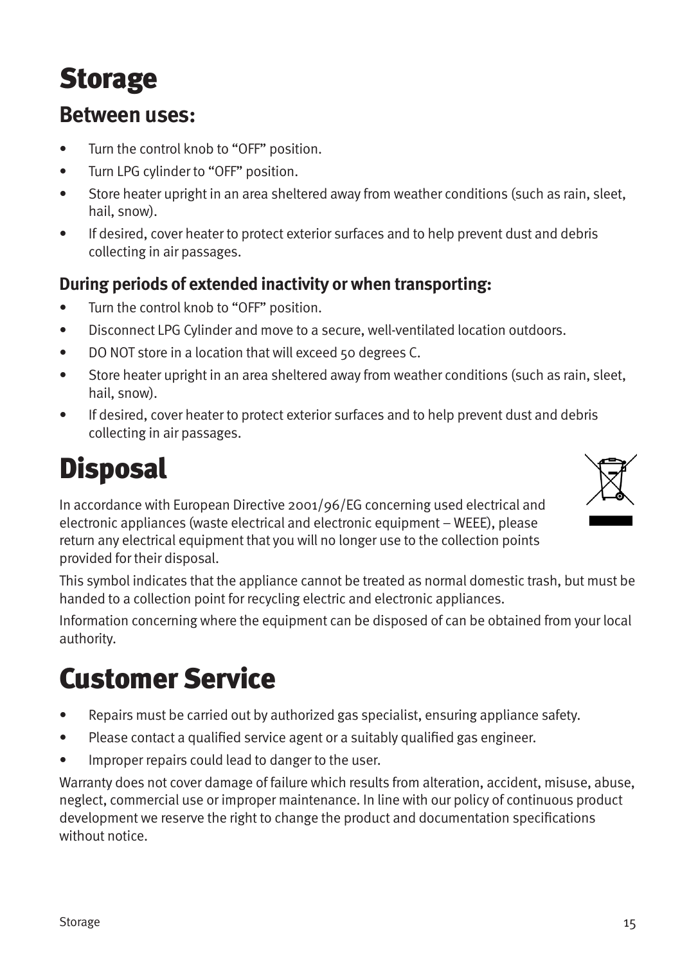# Storage

#### **Between uses:**

- Turn the control knob to "OFF" position.
- Turn LPG cylinder to "OFF" position.
- Store heater upright in an area sheltered away from weather conditions (such as rain, sleet, hail, snow).
- If desired, cover heater to protect exterior surfaces and to help prevent dust and debris collecting in air passages.

#### **During periods of extended inactivity or when transporting:**

- Turn the control knob to "OFF" position.
- Disconnect LPG Cylinder and move to a secure, well-ventilated location outdoors.
- DO NOT store in a location that will exceed 50 degrees C.
- Store heater upright in an area sheltered away from weather conditions (such as rain, sleet, hail, snow).
- If desired, cover heater to protect exterior surfaces and to help prevent dust and debris collecting in air passages.

# **Disposal**

In accordance with European Directive 2001/96/EG concerning used electrical and electronic appliances (waste electrical and electronic equipment – WEEE), please return any electrical equipment that you will no longer use to the collection points provided for their disposal.



This symbol indicates that the appliance cannot be treated as normal domestic trash, but must be handed to a collection point for recycling electric and electronic appliances.

Information concerning where the equipment can be disposed of can be obtained from your local authority.

### Customer Service

- Repairs must be carried out by authorized gas specialist, ensuring appliance safety.
- Please contact a qualified service agent or a suitably qualified gas engineer.
- Improper repairs could lead to danger to the user.

Warranty does not cover damage of failure which results from alteration, accident, misuse, abuse, neglect, commercial use or improper maintenance. In line with our policy of continuous product development we reserve the right to change the product and documentation specifications without notice.